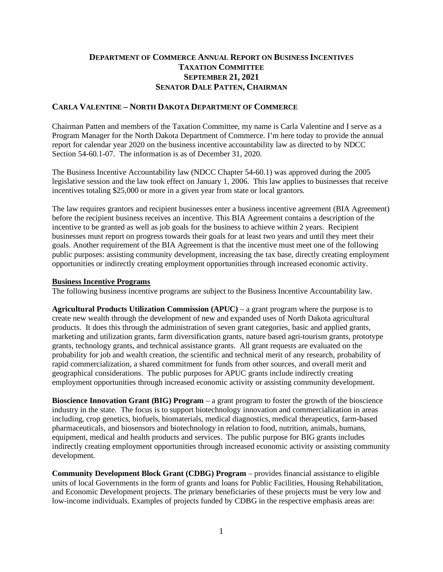## **DEPARTMENT OF COMMERCE ANNUAL REPORT ON BUSINESS INCENTIVES TAXATION COMMITTEE SEPTEMBER 21, 2021 SENATOR DALE PATTEN, CHAIRMAN**

#### **CARLA VALENTINE – NORTH DAKOTA DEPARTMENT OF COMMERCE**

Chairman Patten and members of the Taxation Committee, my name is Carla Valentine and I serve as a Program Manager for the North Dakota Department of Commerce. I'm here today to provide the annual report for calendar year 2020 on the business incentive accountability law as directed to by NDCC Section 54-60.1-07. The information is as of December 31, 2020.

The Business Incentive Accountability law (NDCC Chapter 54-60.1) was approved during the 2005 legislative session and the law took effect on January 1, 2006. This law applies to businesses that receive incentives totaling \$25,000 or more in a given year from state or local grantors.

The law requires grantors and recipient businesses enter a business incentive agreement (BIA Agreement) before the recipient business receives an incentive. This BIA Agreement contains a description of the incentive to be granted as well as job goals for the business to achieve within 2 years. Recipient businesses must report on progress towards their goals for at least two years and until they meet their goals. Another requirement of the BIA Agreement is that the incentive must meet one of the following public purposes: assisting community development, increasing the tax base, directly creating employment opportunities or indirectly creating employment opportunities through increased economic activity.

#### **Business Incentive Programs**

The following business incentive programs are subject to the Business Incentive Accountability law.

**Agricultural Products Utilization Commission (APUC)** – a grant program where the purpose is to create new wealth through the development of new and expanded uses of North Dakota agricultural products. It does this through the administration of seven grant categories, basic and applied grants, marketing and utilization grants, farm diversification grants, nature based agri-tourism grants, prototype grants, technology grants, and technical assistance grants. All grant requests are evaluated on the probability for job and wealth creation, the scientific and technical merit of any research, probability of rapid commercialization, a shared commitment for funds from other sources, and overall merit and geographical considerations. The public purposes for APUC grants include indirectly creating employment opportunities through increased economic activity or assisting community development.

**Bioscience Innovation Grant (BIG) Program** – a grant program to foster the growth of the bioscience industry in the state. The focus is to support biotechnology innovation and commercialization in areas including, crop genetics, biofuels, biomaterials, medical diagnostics, medical therapeutics, farm-based pharmaceuticals, and biosensors and biotechnology in relation to food, nutrition, animals, humans, equipment, medical and health products and services. The public purpose for BIG grants includes indirectly creating employment opportunities through increased economic activity or assisting community development.

**Community Development Block Grant (CDBG) Program** – provides financial assistance to eligible units of local Governments in the form of grants and loans for Public Facilities, Housing Rehabilitation, and Economic Development projects. The primary beneficiaries of these projects must be very low and low-income individuals. Examples of projects funded by CDBG in the respective emphasis areas are: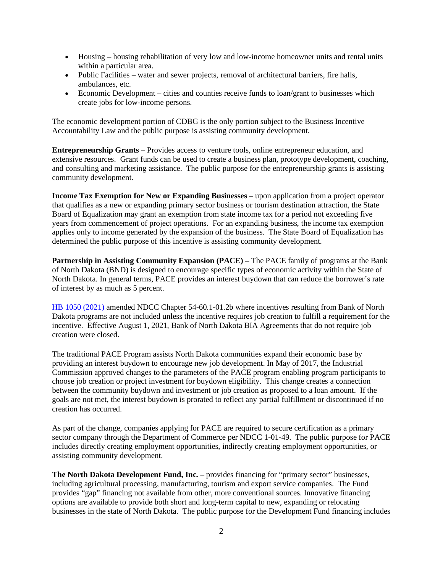- Housing housing rehabilitation of very low and low-income homeowner units and rental units within a particular area.
- Public Facilities water and sewer projects, removal of architectural barriers, fire halls, ambulances, etc.
- Economic Development cities and counties receive funds to loan/grant to businesses which create jobs for low-income persons.

The economic development portion of CDBG is the only portion subject to the Business Incentive Accountability Law and the public purpose is assisting community development.

**Entrepreneurship Grants** – Provides access to venture tools, online entrepreneur education, and extensive resources. Grant funds can be used to create a business plan, prototype development, coaching, and consulting and marketing assistance. The public purpose for the entrepreneurship grants is assisting community development.

**Income Tax Exemption for New or Expanding Businesses** – upon application from a project operator that qualifies as a new or expanding primary sector business or tourism destination attraction, the State Board of Equalization may grant an exemption from state income tax for a period not exceeding five years from commencement of project operations. For an expanding business, the income tax exemption applies only to income generated by the expansion of the business. The State Board of Equalization has determined the public purpose of this incentive is assisting community development.

**Partnership in Assisting Community Expansion (PACE)** – The PACE family of programs at the Bank of North Dakota (BND) is designed to encourage specific types of economic activity within the State of North Dakota. In general terms, PACE provides an interest buydown that can reduce the borrower's rate of interest by as much as 5 percent.

[HB 1050 \(2021\)](https://www.legis.nd.gov/assembly/67-2021/documents/21-8017-03000.pdf) amended NDCC Chapter 54-60.1-01.2b where incentives resulting from Bank of North Dakota programs are not included unless the incentive requires job creation to fulfill a requirement for the incentive. Effective August 1, 2021, Bank of North Dakota BIA Agreements that do not require job creation were closed.

The traditional PACE Program assists North Dakota communities expand their economic base by providing an interest buydown to encourage new job development. In May of 2017, the Industrial Commission approved changes to the parameters of the PACE program enabling program participants to choose job creation or project investment for buydown eligibility. This change creates a connection between the community buydown and investment or job creation as proposed to a loan amount. If the goals are not met, the interest buydown is prorated to reflect any partial fulfillment or discontinued if no creation has occurred.

As part of the change, companies applying for PACE are required to secure certification as a primary sector company through the Department of Commerce per NDCC 1-01-49. The public purpose for PACE includes directly creating employment opportunities, indirectly creating employment opportunities, or assisting community development.

**The North Dakota Development Fund, Inc.** – provides financing for "primary sector" businesses, including agricultural processing, manufacturing, tourism and export service companies. The Fund provides "gap" financing not available from other, more conventional sources. Innovative financing options are available to provide both short and long-term capital to new, expanding or relocating businesses in the state of North Dakota. The public purpose for the Development Fund financing includes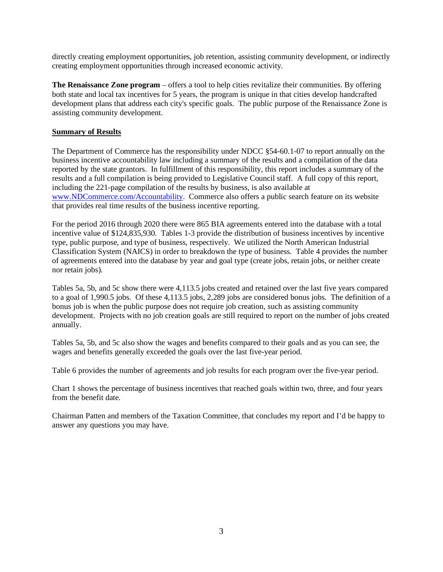directly creating employment opportunities, job retention, assisting community development, or indirectly creating employment opportunities through increased economic activity.

**The Renaissance Zone program** – offers a tool to help cities revitalize their communities. By offering both state and local tax incentives for 5 years, the program is unique in that cities develop handcrafted development plans that address each city's specific goals. The public purpose of the Renaissance Zone is assisting community development.

#### **Summary of Results**

The Department of Commerce has the responsibility under NDCC §54-60.1-07 to report annually on the business incentive accountability law including a summary of the results and a compilation of the data reported by the state grantors. In fulfillment of this responsibility, this report includes a summary of the results and a full compilation is being provided to Legislative Council staff. A full copy of this report, including the 221-page compilation of the results by business, is also available at [www.NDCommerce.com/Accountability.](http://www.ndcommerce.com/Accountability) Commerce also offers a public search feature on its website that provides real time results of the business incentive reporting.

For the period 2016 through 2020 there were 865 BIA agreements entered into the database with a total incentive value of \$124,835,930. Tables 1-3 provide the distribution of business incentives by incentive type, public purpose, and type of business, respectively. We utilized the North American Industrial Classification System (NAICS) in order to breakdown the type of business. Table 4 provides the number of agreements entered into the database by year and goal type (create jobs, retain jobs, or neither create nor retain jobs).

Tables 5a, 5b, and 5c show there were 4,113.5 jobs created and retained over the last five years compared to a goal of 1,990.5 jobs. Of these 4,113.5 jobs, 2,289 jobs are considered bonus jobs. The definition of a bonus job is when the public purpose does not require job creation, such as assisting community development. Projects with no job creation goals are still required to report on the number of jobs created annually.

Tables 5a, 5b, and 5c also show the wages and benefits compared to their goals and as you can see, the wages and benefits generally exceeded the goals over the last five-year period.

Table 6 provides the number of agreements and job results for each program over the five-year period.

Chart 1 shows the percentage of business incentives that reached goals within two, three, and four years from the benefit date.

Chairman Patten and members of the Taxation Committee, that concludes my report and I'd be happy to answer any questions you may have.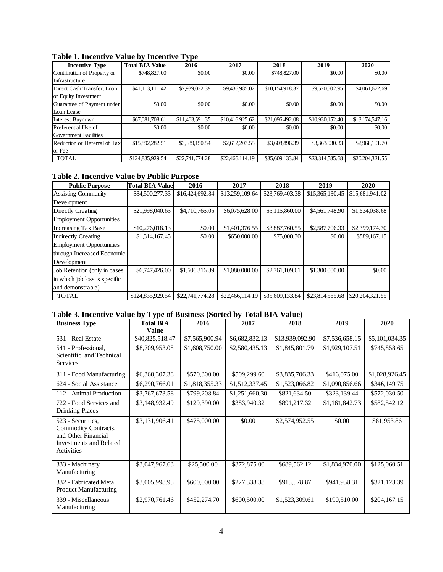| <b>Incentive Type</b>        | <b>Total BIA Value</b> | J F -<br>2016   | 2017            | 2018            | 2019            | 2020            |
|------------------------------|------------------------|-----------------|-----------------|-----------------|-----------------|-----------------|
| Contrinution of Property or  | \$748,827.00           | \$0.00          | \$0.00          | \$748,827.00    | \$0.00          | \$0.00          |
| Infrastructure               |                        |                 |                 |                 |                 |                 |
| Direct Cash Transfer, Loan   | \$41,113,111.42        | \$7,939,032.39  | \$9,436,985.02  | \$10,154,918.37 | \$9,520,502.95  | \$4,061,672.69  |
| or Equity Investment         |                        |                 |                 |                 |                 |                 |
| Guarantee of Payment under   | \$0.00                 | \$0.00          | \$0.00          | \$0.00          | \$0.00          | \$0.00          |
| Loan Lease                   |                        |                 |                 |                 |                 |                 |
| Interest Buydown             | \$67,081,708.61        | \$11,463,591.35 | \$10,416,925.62 | \$21,096,492.08 | \$10.930.152.40 | \$13,174,547.16 |
| Preferential Use of          | \$0.00                 | \$0.00          | \$0.00          | \$0.00          | \$0.00          | \$0.00          |
| Government Facilities        |                        |                 |                 |                 |                 |                 |
| Reduction or Deferral of Tax | \$15,892,282.51        | \$3,339,150.54  | \$2,612,203.55  | \$3,608,896.39  | \$3,363,930.33  | \$2,968,101.70  |
| or Fee                       |                        |                 |                 |                 |                 |                 |
| <b>TOTAL</b>                 | \$124,835,929.54       | \$22,741,774.28 | \$22,466,114.19 | \$35,609,133.84 | \$23,814,585.68 | \$20.204.321.55 |

## **Table 1. Incentive Value by Incentive Type**

# **Table 2. Incentive Value by Public Purpose**

| <b>Public Purpose</b>           | <b>Total BIA Valuel</b> | 2016            | 2017            | 2018            | 2019            | 2020            |
|---------------------------------|-------------------------|-----------------|-----------------|-----------------|-----------------|-----------------|
| <b>Assisting Community</b>      | \$84,500,277.33         | \$16,424,692.84 | \$13,259,109.64 | \$23,769,403.38 | \$15,365,130.45 | \$15,681,941.02 |
| Development                     |                         |                 |                 |                 |                 |                 |
| Directly Creating               | \$21,998,040.63         | \$4,710,765.05  | \$6,075,628.00  | \$5,115,860.00  | \$4,561,748.90  | \$1,534,038.68  |
| <b>Employment Opportunities</b> |                         |                 |                 |                 |                 |                 |
| <b>Increasing Tax Base</b>      | \$10,276,018.13         | \$0.00          | \$1,401,376.55  | \$3,887,760.55  | \$2,587,706.33  | \$2,399,174.70  |
| <b>Indirectly Creating</b>      | \$1,314,167.45          | \$0.00          | \$650,000.00    | \$75,000.30     | \$0.00          | \$589,167.15    |
| <b>Employment Opportunities</b> |                         |                 |                 |                 |                 |                 |
| through Increased Economic      |                         |                 |                 |                 |                 |                 |
| Development                     |                         |                 |                 |                 |                 |                 |
| Job Retention (only in cases)   | \$6,747,426.00          | \$1,606,316.39  | \$1,080,000.00  | \$2,761,109.61  | \$1,300,000.00  | \$0.00          |
| in which job loss is specific   |                         |                 |                 |                 |                 |                 |
| and demonstrable)               |                         |                 |                 |                 |                 |                 |
| <b>TOTAL</b>                    | \$124,835,929.54        | \$22,741,774.28 | \$22,466,114.19 | \$35,609,133.84 | \$23,814,585.68 | \$20,204,321.55 |

## **Table 3. Incentive Value by Type of Business (Sorted by Total BIA Value)**

| <b>Business Type</b>                                                                                             | <b>Total BIA</b>               | 2016<br>2017   |                | 2018            | 2019           | 2020           |
|------------------------------------------------------------------------------------------------------------------|--------------------------------|----------------|----------------|-----------------|----------------|----------------|
|                                                                                                                  | Value                          |                |                |                 |                |                |
| 531 - Real Estate                                                                                                | \$40,825,518.47                | \$7,565,900.94 | \$6,682,832.13 | \$13,939,092.90 | \$7,536,658.15 | \$5,101,034.35 |
| 541 - Professional,<br>Scientific, and Technical<br><b>Services</b>                                              | \$8,709,953.08                 | \$1,608,750.00 | \$2,580,435.13 | \$1,845,801.79  | \$1,929,107.51 | \$745,858.65   |
| 311 - Food Manufacturing                                                                                         | \$6,360,307.38                 | \$570,300.00   | \$509,299.60   | \$3,835,706.33  | \$416,075.00   | \$1,028,926.45 |
| 624 - Social Assistance                                                                                          | \$6,290,766.01                 | \$1,818,355.33 | \$1,512,337.45 | \$1,523,066.82  | \$1,090,856.66 | \$346,149.75   |
| 112 - Animal Production                                                                                          | \$3,767,673.58<br>\$799,208.84 |                | \$1,251,660.30 | \$821,634.50    | \$323,139.44   | \$572,030.50   |
| 722 - Food Services and<br>\$3,148,932.49<br>\$129,390.00<br><b>Drinking Places</b>                              |                                | \$383,940.32   | \$891,217.32   | \$1,161,842.73  | \$582,542.12   |                |
| 523 - Securities,<br>Commodity Contracts,<br>and Other Financial<br><b>Investments and Related</b><br>Activities | \$3,131,906.41                 | \$475,000.00   | \$0.00         | \$2,574,952.55  | \$0.00         | \$81,953.86    |
| 333 - Machinery<br>Manufacturing                                                                                 | \$3,047,967.63                 | \$25,500.00    | \$372,875.00   | \$689,562.12    | \$1,834,970.00 | \$125,060.51   |
| 332 - Fabricated Metal<br>Product Manufacturing                                                                  | \$3,005,998.95                 | \$600,000.00   | \$227,338.38   | \$915,578.87    | \$941,958.31   | \$321,123.39   |
| 339 - Miscellaneous<br>Manufacturing                                                                             | \$2,970,761.46                 | \$452,274.70   | \$600,500.00   | \$1,523,309.61  | \$190,510.00   | \$204,167.15   |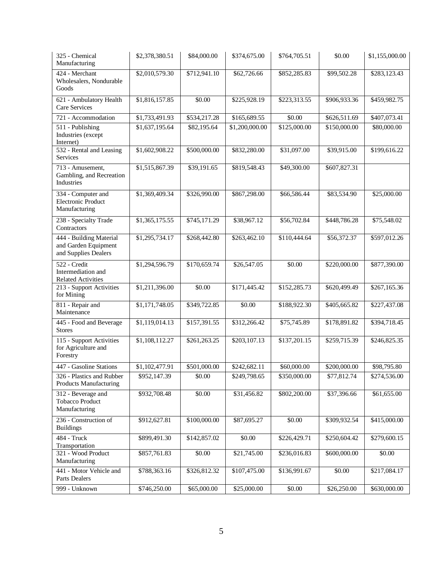| 325 - Chemical<br>Manufacturing                                         | \$2,378,380.51 | \$84,000.00  | \$374,675.00   | \$764,705.51 | \$0.00       | \$1,155,000.00 |
|-------------------------------------------------------------------------|----------------|--------------|----------------|--------------|--------------|----------------|
| 424 - Merchant<br>Wholesalers, Nondurable<br>Goods                      | \$2,010,579.30 | \$712,941.10 | \$62,726.66    | \$852,285.83 | \$99,502.28  | \$283,123.43   |
| 621 - Ambulatory Health<br>Care Services                                | \$1,816,157.85 | \$0.00       | \$225,928.19   | \$223,313.55 | \$906,933.36 | \$459,982.75   |
| 721 - Accommodation                                                     | \$1,733,491.93 | \$534,217.28 | \$165,689.55   | \$0.00       | \$626,511.69 | \$407,073.41   |
| 511 - Publishing<br>Industries (except<br>Internet)                     | \$1,637,195.64 | \$82,195.64  | \$1,200,000.00 | \$125,000.00 | \$150,000.00 | \$80,000.00    |
| 532 - Rental and Leasing<br>Services                                    | \$1,602,908.22 | \$500,000.00 | \$832,280.00   | \$31,097.00  | \$39,915.00  | \$199,616.22   |
| 713 - Amusement,<br>Gambling, and Recreation<br>Industries              | \$1,515,867.39 | \$39,191.65  | \$819,548.43   | \$49,300.00  | \$607,827.31 |                |
| 334 - Computer and<br><b>Electronic Product</b><br>Manufacturing        | \$1,369,409.34 | \$326,990.00 | \$867,298.00   | \$66,586.44  | \$83,534.90  | \$25,000.00    |
| 238 - Specialty Trade<br>Contractors                                    | \$1,365,175.55 | \$745,171.29 | \$38,967.12    | \$56,702.84  | \$448,786.28 | \$75,548.02    |
| 444 - Building Material<br>and Garden Equipment<br>and Supplies Dealers | \$1,295,734.17 | \$268,442.80 | \$263,462.10   | \$110,444.64 |              | \$597,012.26   |
| 522 - Credit<br>Intermediation and<br><b>Related Activities</b>         | \$1,294,596.79 | \$170,659.74 | \$26,547.05    | \$0.00       | \$220,000.00 | \$877,390.00   |
| 213 - Support Activities<br>for Mining                                  | \$1,211,396.00 | \$0.00       | \$171,445.42   | \$152,285.73 | \$620,499.49 | \$267,165.36   |
| 811 - Repair and<br>Maintenance                                         | \$1,171,748.05 | \$349,722.85 | \$0.00         | \$188,922.30 | \$405,665.82 | \$227,437.08   |
| 445 - Food and Beverage<br><b>Stores</b>                                | \$1,119,014.13 | \$157,391.55 | \$312,266.42   | \$75,745.89  | \$178,891.82 | \$394,718.45   |
| 115 - Support Activities<br>for Agriculture and<br>Forestry             | \$1,108,112.27 | \$261,263.25 | \$203,107.13   | \$137,201.15 | \$259,715.39 | \$246,825.35   |
| 447 - Gasoline Stations                                                 | \$1,102,477.91 | \$501,000.00 | \$242,682.11   | \$60,000.00  | \$200,000.00 | \$98,795.80    |
| 326 - Plastics and Rubber<br>Products Manufacturing                     | \$952,147.39   | \$0.00       | \$249,798.65   | \$350,000.00 | \$77,812.74  | \$274,536.00   |
| 312 - Beverage and<br><b>Tobacco Product</b><br>Manufacturing           | \$932,708.48   | \$0.00       | \$31,456.82    | \$802,200.00 | \$37,396.66  | \$61,655.00    |
| 236 - Construction of<br><b>Buildings</b>                               | \$912,627.81   | \$100,000.00 | \$87,695.27    | \$0.00       | \$309,932.54 | \$415,000.00   |
| 484 - Truck<br>Transportation                                           | \$899,491.30   | \$142,857.02 | \$0.00         | \$226,429.71 | \$250,604.42 | \$279,600.15   |
| 321 - Wood Product<br>Manufacturing                                     | \$857,761.83   | \$0.00       | \$21,745.00    | \$236,016.83 | \$600,000.00 | \$0.00         |
| 441 - Motor Vehicle and<br>Parts Dealers                                | \$788,363.16   | \$326,812.32 | \$107,475.00   | \$136,991.67 | \$0.00       | \$217,084.17   |
| 999 - Unknown                                                           | \$746,250.00   | \$65,000.00  | \$25,000.00    | \$0.00       | \$26,250.00  | \$630,000.00   |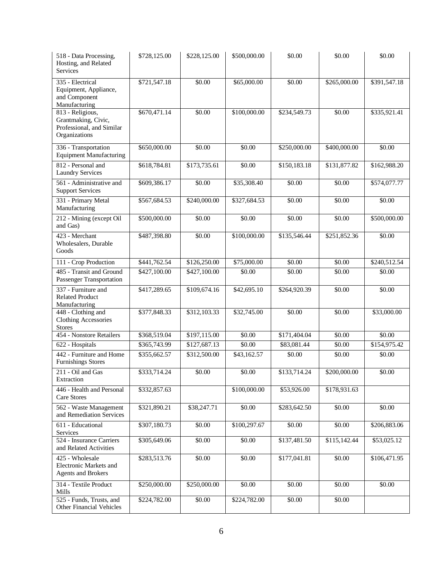| 518 - Data Processing,<br>Hosting, and Related<br><b>Services</b>                     | \$728,125.00 | \$228,125.00 | \$500,000.00       | \$0.00       | \$0.00       | \$0.00       |
|---------------------------------------------------------------------------------------|--------------|--------------|--------------------|--------------|--------------|--------------|
| 335 - Electrical<br>Equipment, Appliance,<br>and Component<br>Manufacturing           | \$721,547.18 | \$0.00       | \$65,000.00        | \$0.00       | \$265,000.00 | \$391,547.18 |
| 813 - Religious,<br>Grantmaking, Civic,<br>Professional, and Similar<br>Organizations | \$670,471.14 | \$0.00       | \$100,000.00       | \$234,549.73 | \$0.00       | \$335,921.41 |
| 336 - Transportation<br><b>Equipment Manufacturing</b>                                | \$650,000.00 | \$0.00       | \$0.00             | \$250,000.00 | \$400,000.00 | \$0.00       |
| 812 - Personal and<br><b>Laundry Services</b>                                         | \$618,784.81 | \$173,735.61 | \$0.00             | \$150,183.18 | \$131,877.82 | \$162,988.20 |
| 561 - Administrative and<br><b>Support Services</b>                                   | \$609,386.17 | \$0.00       | \$35,308.40        | \$0.00       | \$0.00       | \$574,077.77 |
| 331 - Primary Metal<br>Manufacturing                                                  | \$567,684.53 | \$240,000.00 | \$327,684.53       | \$0.00       | \$0.00       | \$0.00       |
| 212 - Mining (except Oil<br>and Gas)                                                  | \$500,000.00 | \$0.00       | \$0.00             | \$0.00       | \$0.00       | \$500,000.00 |
| 423 - Merchant<br>Wholesalers, Durable<br>Goods                                       | \$487,398.80 | \$0.00       | \$100,000.00       | \$135,546.44 | \$251,852.36 | \$0.00       |
| 111 - Crop Production                                                                 | \$441,762.54 | \$126,250.00 | \$75,000.00        | \$0.00       | \$0.00       | \$240,512.54 |
| 485 - Transit and Ground<br>Passenger Transportation                                  | \$427,100.00 | \$427,100.00 | \$0.00             | \$0.00       | \$0.00       | \$0.00       |
| 337 - Furniture and<br><b>Related Product</b><br>Manufacturing                        | \$417,289.65 | \$109,674.16 | \$42,695.10        | \$264,920.39 | \$0.00       | \$0.00       |
| 448 - Clothing and<br>Clothing Accessories<br><b>Stores</b>                           | \$377,848.33 | \$312,103.33 | \$32,745.00        | \$0.00       | \$0.00       | \$33,000.00  |
| 454 - Nonstore Retailers                                                              | \$368,519.04 | \$197,115.00 | $\overline{50.00}$ | \$171,404.04 | \$0.00       | \$0.00       |
| 622 - Hospitals                                                                       | \$365,743.99 | \$127,687.13 | \$0.00             | \$83,081.44  | \$0.00       | \$154,975.42 |
| 442 - Furniture and Home<br><b>Furnishings Stores</b>                                 | \$355,662.57 | \$312,500.00 | \$43,162.57        | \$0.00       | \$0.00       | \$0.00       |
| 211 - Oil and Gas<br>Extraction                                                       | \$333,714.24 | \$0.00       | \$0.00             | \$133,714.24 | \$200,000.00 | \$0.00       |
| 446 - Health and Personal<br>Care Stores                                              | \$332,857.63 |              | \$100,000.00       | \$53,926.00  | \$178,931.63 |              |
| 562 - Waste Management<br>and Remediation Services                                    | \$321,890.21 | \$38,247.71  | \$0.00             | \$283,642.50 | \$0.00       | \$0.00       |
| 611 - Educational<br>Services                                                         | \$307,180.73 | \$0.00       | \$100,297.67       | \$0.00       | \$0.00       | \$206,883.06 |
| 524 - Insurance Carriers<br>and Related Activities                                    | \$305,649.06 | \$0.00       | \$0.00             | \$137,481.50 | \$115,142.44 | \$53,025.12  |
| 425 - Wholesale<br>Electronic Markets and<br><b>Agents and Brokers</b>                | \$283,513.76 | \$0.00       | \$0.00             | \$177,041.81 | \$0.00       | \$106,471.95 |
| 314 - Textile Product<br>Mills                                                        | \$250,000.00 | \$250,000.00 | \$0.00             | \$0.00       | \$0.00       | \$0.00       |
| 525 - Funds, Trusts, and<br>Other Financial Vehicles                                  | \$224,782.00 | \$0.00       | \$224,782.00       | \$0.00       | \$0.00       |              |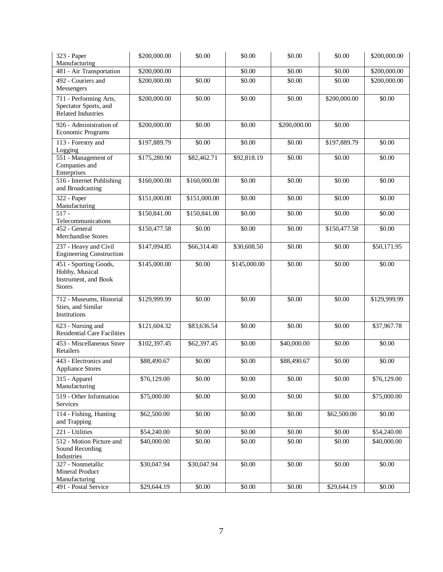| 323 - Paper<br>Manufacturing                                                     | \$200,000.00 | \$0.00             | \$0.00             | \$0.00       | \$0.00       | \$200,000.00            |
|----------------------------------------------------------------------------------|--------------|--------------------|--------------------|--------------|--------------|-------------------------|
| 481 - Air Transportation                                                         | \$200,000.00 |                    | \$0.00             | \$0.00       | \$0.00       | \$200,000.00            |
| 492 - Couriers and<br>Messengers                                                 | \$200,000.00 | \$0.00             | \$0.00             | \$0.00       | \$0.00       | \$200,000.00            |
| 711 - Performing Arts,<br>Spectator Sports, and<br><b>Related Industries</b>     | \$200,000.00 | \$0.00             | \$0.00<br>\$0.00   |              | \$200,000.00 | \$0.00                  |
| 926 - Administration of<br>Economic Programs                                     | \$200,000.00 | \$0.00             | \$0.00             | \$200,000.00 | \$0.00       |                         |
| 113 - Forestry and<br>Logging                                                    | \$197,889.79 | \$0.00             | $\overline{$}0.00$ | \$0.00       | \$197,889.79 | \$0.00                  |
| 551 - Management of<br>Companies and<br>Enterprises                              | \$175,280.90 | \$82,462.71        | \$92,818.19        | \$0.00       | \$0.00       | \$0.00                  |
| 516 - Internet Publishing<br>and Broadcasting                                    | \$160,000.00 | \$160,000.00       | \$0.00             | \$0.00       | \$0.00       | \$0.00                  |
| 322 - Paper<br>Manufacturing                                                     | \$151,000.00 | \$151,000.00       | \$0.00             | \$0.00       | \$0.00       | \$0.00                  |
| $517 -$<br>Telecommunications                                                    | \$150,841.00 | \$150,841.00       | \$0.00             | \$0.00       | \$0.00       | \$0.00                  |
| 452 - General<br>Merchandise Stores                                              | \$150,477.58 | $\overline{$}0.00$ | \$0.00             | \$0.00       | \$150,477.58 | \$0.00                  |
| 237 - Heavy and Civil<br><b>Engineering Construction</b>                         | \$147,094.85 | \$66,314.40        | \$30,608.50        | \$0.00       | \$0.00       | \$50,171.95             |
| 451 - Sporting Goods,<br>Hobby, Musical<br>Instrument, and Book<br><b>Stores</b> | \$145,000.00 | \$0.00             | \$145,000.00       | \$0.00       | \$0.00       | \$0.00                  |
| 712 - Museums, Historial<br>Sties, and Similar<br>Institutions                   | \$129,999.99 | \$0.00             | \$0.00             | \$0.00       | \$0.00       | \$129,999.99            |
| 623 - Nursing and<br><b>Residential Care Facilities</b>                          | \$121,604.32 | \$83,636.54        | \$0.00             | \$0.00       | \$0.00       | \$37,967.78             |
| 453 - Miscellaneous Store<br>Retailers                                           | \$102,397.45 | \$62,397.45        | \$0.00             | \$40,000.00  | \$0.00       | \$0.00                  |
| 443 - Electronics and<br><b>Appliance Stores</b>                                 | \$88,490.67  | \$0.00             | \$0.00             | \$88,490.67  | \$0.00       | \$0.00                  |
| 315 - Apparel<br>Manufacturing                                                   | \$76,129.00  | \$0.00             | \$0.00             | \$0.00       | \$0.00       | $\overline{$}76,129.00$ |
| 519 - Other Information<br>Services                                              | \$75,000.00  | \$0.00             | \$0.00             | \$0.00       | \$0.00       | \$75,000.00             |
| 114 - Fishing, Hunting<br>and Trapping                                           | \$62,500.00  | \$0.00             | \$0.00             | \$0.00       | \$62,500.00  | $\overline{50.00}$      |
| 221 - Utilities                                                                  | \$54,240.00  | \$0.00             | $\overline{$}0.00$ | \$0.00       | \$0.00       | \$54,240.00             |
| 512 - Motion Picture and<br>Sound Recording<br>Industries                        | \$40,000.00  | \$0.00             | \$0.00             | \$0.00       | \$0.00       | \$40,000.00             |
| 327 - Nonmetallic<br>Mineral Product<br>Manufacturing                            | \$30,047.94  | \$30,047.94        | \$0.00             | \$0.00       | \$0.00       | \$0.00                  |
| 491 - Postal Service                                                             | \$29,644.19  | \$0.00             | \$0.00             | \$0.00       | \$29,644.19  | \$0.00                  |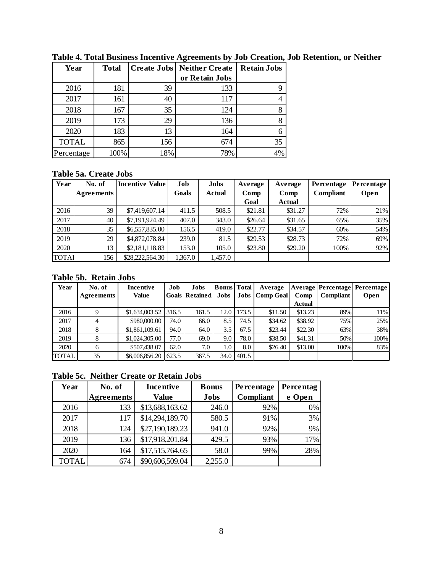| Year         | <b>Total</b> |     | <b>Create Jobs   Neither Create</b> | <b>Retain Jobs</b> |
|--------------|--------------|-----|-------------------------------------|--------------------|
|              |              |     | or Retain Jobs                      |                    |
| 2016         | 181          | 39  | 133                                 |                    |
| 2017         | 161          | 40  | 117                                 |                    |
| 2018         | 167          | 35  | 124                                 |                    |
| 2019         | 173          | 29  | 136                                 | 8                  |
| 2020         | 183          | 13  | 164                                 | 6                  |
| <b>TOTAL</b> | 865          | 156 | 674                                 | 35                 |
| Percentage   | 100%         | 18% | 78%                                 | 4%                 |

**Table 4. Total Business Incentive Agreements by Job Creation, Job Retention, or Neither**

# **Table 5a. Create Jobs**

| Year         | No. of     | <b>Incentive Value</b> | Job     | Jobs          | Average | Average       | Percentage | Percentage |
|--------------|------------|------------------------|---------|---------------|---------|---------------|------------|------------|
|              | Agreements |                        | Goals   | <b>Actual</b> | Comp    | Comp          | Compliant  | Open       |
|              |            |                        |         |               | Goal    | <b>Actual</b> |            |            |
| 2016         | 39         | \$7,419,607.14         | 411.5   | 508.5         | \$21.81 | \$31.27       | 72%        | 21%        |
| 2017         | 40         | \$7,191,924.49         | 407.0   | 343.0         | \$26.64 | \$31.65       | 65%        | 35%        |
| 2018         | 35         | \$6,557,835.00         | 156.5   | 419.0         | \$22.77 | \$34.57       | 60%        | 54%        |
| 2019         | 29         | \$4,872,078.84         | 239.0   | 81.5          | \$29.53 | \$28.73       | 72%        | 69%        |
| 2020         | 13         | \$2,181,118.83         | 153.0   | 105.0         | \$23.80 | \$29.20       | 100%       | 92%        |
| <b>TOTAI</b> | 156        | \$28,222,564.30        | 1,367.0 | 1,457.0       |         |               |            |            |

#### **Table 5b. Retain Jobs**

| Year         | No. of     | Incentive      | Job   | Jobs                  | <b>Bonus</b> Total |       | Average               |         | Average   Percentage   Percentage |      |
|--------------|------------|----------------|-------|-----------------------|--------------------|-------|-----------------------|---------|-----------------------------------|------|
|              | Agreements | Value          |       | <b>Goals Retained</b> | Jobs               |       | <b>Jobs</b> Comp Goal | Comp    | <b>Compliant</b>                  | Open |
|              |            |                |       |                       |                    |       |                       | Actual  |                                   |      |
| 2016         |            | \$1,634,003.52 | 316.5 | 161.5                 | l2.0               | 173.5 | \$11.50               | \$13.23 | 89%                               | 11%  |
| 2017         |            | \$980,000.00   | 74.0  | 66.0                  | 8.5                | 74.5  | \$34.62               | \$38.92 | 75%                               | 25%  |
| 2018         |            | \$1,861,109.61 | 94.0  | 64.0                  | 3.5                | 67.5  | \$23.44               | \$22.30 | 63%                               | 38%  |
| 2019         | 8          | \$1,024,305.00 | 77.0  | 69.0                  | 9.0                | 78.0  | \$38.50               | \$41.31 | 50%                               | 100% |
| 2020         | 6          | \$507,438.07   | 62.0  | 7.0                   | 1.0                | 8.0   | \$26.40               | \$13.00 | 100%                              | 83%  |
| <b>TOTAL</b> | 35         | \$6,006,856.20 | 623.5 | 367.5                 | 34.0               | 401.5 |                       |         |                                   |      |

## **Table 5c. Neither Create or Retain Jobs**

| Table oci Tiennel Oftale of Itelahl bobb |                   |                  |              |                  |           |  |  |  |  |  |  |
|------------------------------------------|-------------------|------------------|--------------|------------------|-----------|--|--|--|--|--|--|
| Year                                     | No. of            | <b>Incentive</b> | <b>Bonus</b> | Percentage       | Percentag |  |  |  |  |  |  |
|                                          | <b>Agreements</b> | <b>Value</b>     | <b>Jobs</b>  | <b>Compliant</b> | e Open    |  |  |  |  |  |  |
| 2016                                     | 133               | \$13,688,163.62  | 246.0        | 92%              | 0%        |  |  |  |  |  |  |
| 2017                                     | 117               | \$14,294,189.70  | 580.5        | 91%              | 3%        |  |  |  |  |  |  |
| 2018                                     | 124               | \$27,190,189.23  | 941.0        | 92%              | 9%        |  |  |  |  |  |  |
| 2019                                     | 136               | \$17,918,201.84  | 429.5        | 93%              | 17%       |  |  |  |  |  |  |
| 2020                                     | 164               | \$17,515,764.65  | 58.0         | 99%              | 28%       |  |  |  |  |  |  |
| <b>TOTAL</b>                             | 674               | \$90,606,509.04  | 2,255.0      |                  |           |  |  |  |  |  |  |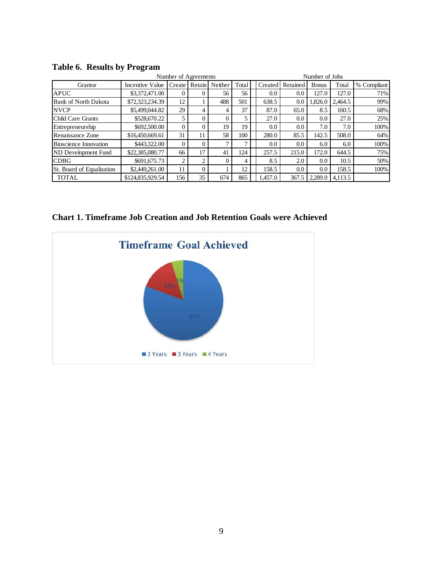| Number of Agreements         |                  |          |                |          |       | Number of Jobs |          |               |         |             |
|------------------------------|------------------|----------|----------------|----------|-------|----------------|----------|---------------|---------|-------------|
| Grantor                      | Incentive Value  | Create I | Retain         | Neither  | Total | Created        | Retained | <b>B</b> onus | Total   | % Compliant |
| <b>APUC</b>                  | \$3,372,471.00   | 0        | $\Omega$       | 56       | 56    | 0.0            | 0.0      | 127.0         | 127.0   | 71%         |
| <b>Bank of North Dakota</b>  | \$72,323,234.39  | 12       |                | 488      | 501   | 638.5          | 0.0      | 1,826.0       | 2.464.5 | 99%         |
| <b>NVCP</b>                  | \$5,499,044.82   | 29       | 4              | 4        | 37    | 87.0           | 65.0     | 8.5           | 160.5   | 68%         |
| Child Care Grants            | \$528,670.22     |          | $\Omega$       | $\theta$ |       | 27.0           | 0.0      | 0.0           | 27.0    | 25%         |
| Entrepreneurship             | \$692,500.00     | 0        | $\Omega$       | 19       | 19    | 0.0            | 0.0      | 7.0           | 7.0     | 100%        |
| Renaissance Zone             | \$16,450,669.61  | 31       | 11             | 58       | 100   | 280.0          | 85.5     | 142.5         | 508.0   | 64%         |
| <b>Bioscience Innovation</b> | \$443,322,00     | 0        | $\Omega$       | ℸ        |       | 0.0            | 0.0      | 6.0           | 6.0     | 100%        |
| ND Development Fund          | \$22,385,080.77  | 66       | 17             | 41       | 124   | 257.5          | 215.0    | 172.0         | 644.5   | 75%         |
| <b>CDBG</b>                  | \$691,675.73     | 2        | $\overline{c}$ | $\Omega$ | 4     | 8.5            | 2.0      | 0.0           | 10.5    | 50%         |
| St. Board of Equalization    | \$2,449,261.00   | 11       | $\Omega$       |          | 12    | 158.5          | 0.0      | 0.0           | 158.5   | 100%        |
| TOTAL                        | \$124,835,929.54 | 156      | 35             | 674      | 865   | .457.0         | 367.5    | 2.289.0       | 4.113.5 |             |

**Table 6. Results by Program**

**Chart 1. Timeframe Job Creation and Job Retention Goals were Achieved**

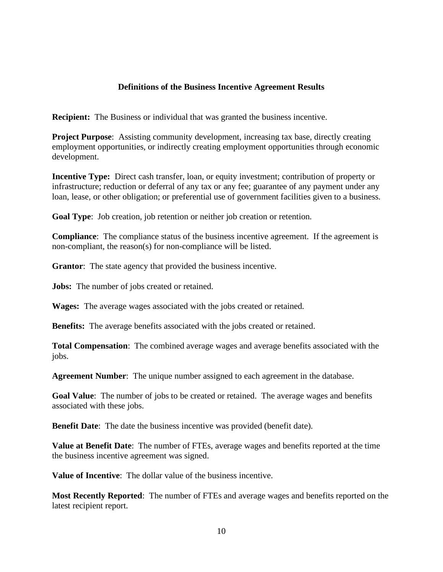## **Definitions of the Business Incentive Agreement Results**

**Recipient:** The Business or individual that was granted the business incentive.

**Project Purpose:** Assisting community development, increasing tax base, directly creating employment opportunities, or indirectly creating employment opportunities through economic development.

**Incentive Type:** Direct cash transfer, loan, or equity investment; contribution of property or infrastructure; reduction or deferral of any tax or any fee; guarantee of any payment under any loan, lease, or other obligation; or preferential use of government facilities given to a business.

**Goal Type**: Job creation, job retention or neither job creation or retention.

**Compliance**: The compliance status of the business incentive agreement. If the agreement is non-compliant, the reason(s) for non-compliance will be listed.

**Grantor**: The state agency that provided the business incentive.

**Jobs:** The number of jobs created or retained.

**Wages:** The average wages associated with the jobs created or retained.

**Benefits:** The average benefits associated with the jobs created or retained.

**Total Compensation**: The combined average wages and average benefits associated with the jobs.

**Agreement Number**: The unique number assigned to each agreement in the database.

**Goal Value**: The number of jobs to be created or retained. The average wages and benefits associated with these jobs.

**Benefit Date:** The date the business incentive was provided (benefit date).

**Value at Benefit Date**: The number of FTEs, average wages and benefits reported at the time the business incentive agreement was signed.

**Value of Incentive**: The dollar value of the business incentive.

**Most Recently Reported**: The number of FTEs and average wages and benefits reported on the latest recipient report.